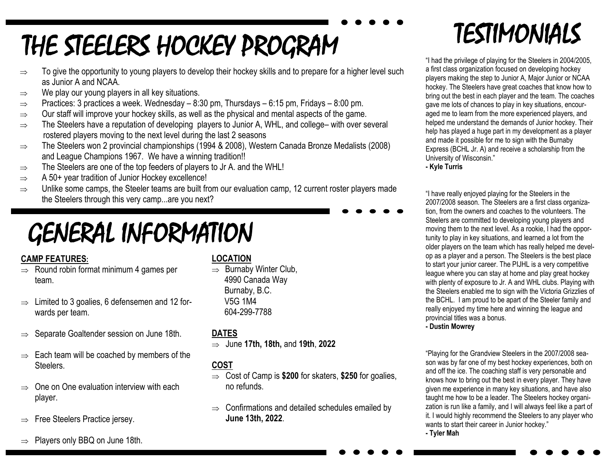# THE STEELERS HOCKEY PROGRAM

- $\Rightarrow$  To give the opportunity to young players to develop their hockey skills and to prepare for a higher level such as Junior A and NCAA.
- $\Rightarrow$  We play our young players in all key situations.
- $\Rightarrow$  Practices: 3 practices a week. Wednesday 8:30 pm, Thursdays 6:15 pm, Fridays 8:00 pm.
- $\Rightarrow$  Our staff will improve your hockey skills, as well as the physical and mental aspects of the game.
- $\Rightarrow$  The Steelers have a reputation of developing players to Junior A, WHL, and college– with over several rostered players moving to the next level during the last 2 seasons
- $\Rightarrow$  The Steelers won 2 provincial championships (1994 & 2008), Western Canada Bronze Medalists (2008) and League Champions 1967. We have a winning tradition!!
- $\Rightarrow$  The Steelers are one of the top feeders of players to Jr A. and the WHL!
- $\Rightarrow$  A 50+ year tradition of Junior Hockey excellence!
- $\Rightarrow$  Unlike some camps, the Steeler teams are built from our evaluation camp, 12 current roster players made the Steelers through this very camp...are you next?

# GENERAL INFORMATION

### **CAMP FEATURES:**

- $\Rightarrow$  Round robin format minimum 4 games per team.
- $\Rightarrow$  Limited to 3 goalies, 6 defensemen and 12 forwards per team.
- $\Rightarrow$  Separate Goaltender session on June 18th.
- $\Rightarrow$  Each team will be coached by members of the **Steelers**
- $\Rightarrow$  One on One evaluation interview with each player.
- $\Rightarrow$  Free Steelers Practice jersey.
- $\Rightarrow$  Players only BBQ on June 18th.

#### **LOCATION**

 $\Rightarrow$  Burnaby Winter Club, 4990 Canada Way Burnaby, B.C. V5G 1M4 604-299-7788

### **DATES**

June **17th, 18th,** and **19th**, **2022**

### **COST**

- Cost of Camp is **\$200** for skaters, **\$250** for goalies, no refunds.
- $\Rightarrow$  Confirmations and detailed schedules emailed by **June 13th, 2022**.

## TESTIMONIALS

"I had the privilege of playing for the Steelers in 2004/2005, a first class organization focused on developing hockey players making the step to Junior A, Major Junior or NCAA hockey. The Steelers have great coaches that know how to bring out the best in each player and the team. The coaches gave me lots of chances to play in key situations, encouraged me to learn from the more experienced players, and helped me understand the demands of Junior hockey. Their help has played a huge part in my development as a player and made it possible for me to sign with the Burnaby Express (BCHL Jr. A) and receive a scholarship from the University of Wisconsin."

**- Kyle Turris**

"I have really enjoyed playing for the Steelers in the 2007/2008 season. The Steelers are a first class organization, from the owners and coaches to the volunteers. The Steelers are committed to developing young players and moving them to the next level. As a rookie, I had the opportunity to play in key situations, and learned a lot from the older players on the team which has really helped me develop as a player and a person. The Steelers is the best place to start your junior career. The PIJHL is a very competitive league where you can stay at home and play great hockey with plenty of exposure to Jr. A and WHL clubs. Playing with the Steelers enabled me to sign with the Victoria Grizzlies of the BCHL. I am proud to be apart of the Steeler family and really enjoyed my time here and winning the league and provincial titles was a bonus.

**- Dustin Mowrey**

"Playing for the Grandview Steelers in the 2007/2008 season was by far one of my best hockey experiences, both on and off the ice. The coaching staff is very personable and knows how to bring out the best in every player. They have given me experience in many key situations, and have also taught me how to be a leader. The Steelers hockey organization is run like a family, and I will always feel like a part of it. I would highly recommend the Steelers to any player who wants to start their career in Junior hockey." **- Tyler Mah**